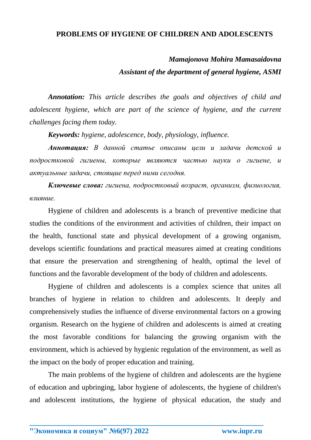## **PROBLEMS OF HYGIENE OF CHILDREN AND ADOLESCENTS**

## *Mamajonova Mohira Mamasaidovna Assistant of the department of general hygiene, ASMI*

*Annotation: This article describes the goals and objectives of child and adolescent hygiene, which are part of the science of hygiene, and the current challenges facing them today.*

*Keywords: hygiene, adolescence, body, physiology, influence.*

*Аннотация: В данной статье описаны цели и задачи детской и подростковой гигиены, которые являются частью науки о гигиене, и актуальные задачи, стоящие перед ними сегодня.*

*Ключевые слова: гигиена, подростковый возраст, организм, физиология, влияние.*

Hygiene of children and adolescents is a branch of preventive medicine that studies the conditions of the environment and activities of children, their impact on the health, functional state and physical development of a growing organism, develops scientific foundations and practical measures aimed at creating conditions that ensure the preservation and strengthening of health, optimal the level of functions and the favorable development of the body of children and adolescents.

Hygiene of children and adolescents is a complex science that unites all branches of hygiene in relation to children and adolescents. It deeply and comprehensively studies the influence of diverse environmental factors on a growing organism. Research on the hygiene of children and adolescents is aimed at creating the most favorable conditions for balancing the growing organism with the environment, which is achieved by hygienic regulation of the environment, as well as the impact on the body of proper education and training.

The main problems of the hygiene of children and adolescents are the hygiene of education and upbringing, labor hygiene of adolescents, the hygiene of children's and adolescent institutions, the hygiene of physical education, the study and

**\_\_\_\_\_\_\_\_\_\_\_\_\_\_\_\_\_\_\_\_\_\_\_\_\_\_\_\_\_\_\_\_\_\_\_\_\_\_\_\_\_\_\_\_\_\_\_\_\_\_\_\_\_\_\_\_\_\_\_\_\_\_\_\_**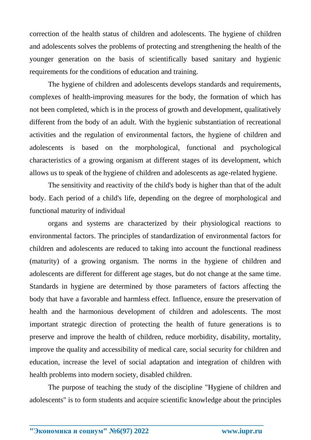correction of the health status of children and adolescents. The hygiene of children and adolescents solves the problems of protecting and strengthening the health of the younger generation on the basis of scientifically based sanitary and hygienic requirements for the conditions of education and training.

The hygiene of children and adolescents develops standards and requirements, complexes of health-improving measures for the body, the formation of which has not been completed, which is in the process of growth and development, qualitatively different from the body of an adult. With the hygienic substantiation of recreational activities and the regulation of environmental factors, the hygiene of children and adolescents is based on the morphological, functional and psychological characteristics of a growing organism at different stages of its development, which allows us to speak of the hygiene of children and adolescents as age-related hygiene.

The sensitivity and reactivity of the child's body is higher than that of the adult body. Each period of a child's life, depending on the degree of morphological and functional maturity of individual

organs and systems are characterized by their physiological reactions to environmental factors. The principles of standardization of environmental factors for children and adolescents are reduced to taking into account the functional readiness (maturity) of a growing organism. The norms in the hygiene of children and adolescents are different for different age stages, but do not change at the same time. Standards in hygiene are determined by those parameters of factors affecting the body that have a favorable and harmless effect. Influence, ensure the preservation of health and the harmonious development of children and adolescents. The most important strategic direction of protecting the health of future generations is to preserve and improve the health of children, reduce morbidity, disability, mortality, improve the quality and accessibility of medical care, social security for children and education, increase the level of social adaptation and integration of children with health problems into modern society, disabled children.

The purpose of teaching the study of the discipline "Hygiene of children and adolescents" is to form students and acquire scientific knowledge about the principles

**\_\_\_\_\_\_\_\_\_\_\_\_\_\_\_\_\_\_\_\_\_\_\_\_\_\_\_\_\_\_\_\_\_\_\_\_\_\_\_\_\_\_\_\_\_\_\_\_\_\_\_\_\_\_\_\_\_\_\_\_\_\_\_\_**